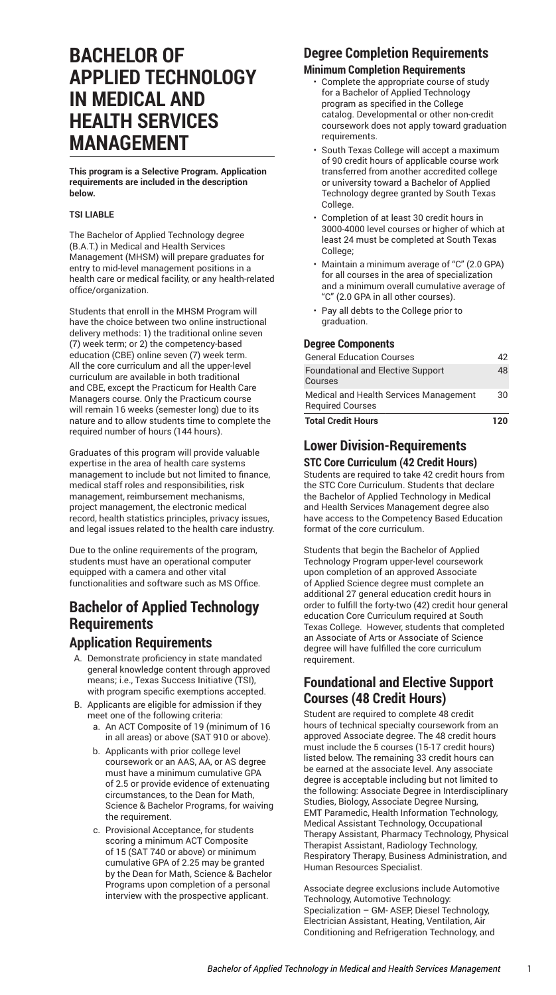# **BACHELOR OF APPLIED TECHNOLOGY IN MEDICAL AND HEALTH SERVICES MANAGEMENT**

**This program is a Selective Program. Application requirements are included in the description below.**

#### **TSI LIABLE**

The Bachelor of Applied Technology degree (B.A.T.) in Medical and Health Services Management (MHSM) will prepare graduates for entry to mid-level management positions in a health care or medical facility, or any health-related office/organization.

Students that enroll in the MHSM Program will have the choice between two online instructional delivery methods: 1) the traditional online seven (7) week term; or 2) the competency-based education (CBE) online seven (7) week term. All the core curriculum and all the upper-level curriculum are available in both traditional and CBE, except the Practicum for Health Care Managers course. Only the Practicum course will remain 16 weeks (semester long) due to its nature and to allow students time to complete the required number of hours (144 hours).

Graduates of this program will provide valuable expertise in the area of health care systems management to include but not limited to finance, medical staff roles and responsibilities, risk management, reimbursement mechanisms, project management, the electronic medical record, health statistics principles, privacy issues, and legal issues related to the health care industry.

Due to the online requirements of the program, students must have an operational computer equipped with a camera and other vital functionalities and software such as MS Office.

# **Bachelor of Applied Technology Requirements**

### **Application Requirements**

- A. Demonstrate proficiency in state mandated general knowledge content through approved means; i.e., Texas Success Initiative (TSI), with program specific exemptions accepted.
- B. Applicants are eligible for admission if they meet one of the following criteria:
	- a. An ACT Composite of 19 (minimum of 16 in all areas) or above (SAT 910 or above).
	- b. Applicants with prior college level coursework or an AAS, AA, or AS degree must have a minimum cumulative GPA of 2.5 or provide evidence of extenuating circumstances, to the Dean for Math, Science & Bachelor Programs, for waiving the requirement.
	- c. Provisional Acceptance, for students scoring a minimum ACT Composite of 15 (SAT 740 or above) or minimum cumulative GPA of 2.25 may be granted by the Dean for Math, Science & Bachelor Programs upon completion of a personal interview with the prospective applicant.

### **Degree Completion Requirements**

#### **Minimum Completion Requirements**

- Complete the appropriate course of study for a Bachelor of Applied Technology program as specified in the College catalog. Developmental or other non-credit coursework does not apply toward graduation requirements.
- South Texas College will accept a maximum of 90 credit hours of applicable course work transferred from another accredited college or university toward a Bachelor of Applied Technology degree granted by South Texas College.
- Completion of at least 30 credit hours in 3000-4000 level courses or higher of which at least 24 must be completed at South Texas College;
- Maintain a minimum average of "C" (2.0 GPA) for all courses in the area of specialization and a minimum overall cumulative average of "C" (2.0 GPA in all other courses).
- Pay all debts to the College prior to graduation.

#### **Degree Components**

| <b>Total Credit Hours</b>                                         | 120 |
|-------------------------------------------------------------------|-----|
| Medical and Health Services Management<br><b>Required Courses</b> | 30  |
| <b>Foundational and Elective Support</b><br>Courses               | 48  |
| <b>General Education Courses</b>                                  | 42  |
|                                                                   |     |

### **Lower Division-Requirements**

#### **STC Core Curriculum (42 Credit Hours)**

Students are required to take 42 credit hours from the STC Core [Curriculum](http://catalog.southtexascollege.edu/curriculum/core-curriculum/). Students that declare the Bachelor of Applied Technology in Medical and Health Services Management degree also have access to the Competency Based Education format of the core curriculum.

Students that begin the Bachelor of Applied Technology Program upper-level coursework upon completion of an approved Associate of Applied Science degree must complete an additional 27 general education credit hours in order to fulfill the forty-two (42) credit hour general education Core Curriculum required at South Texas College. However, students that completed an Associate of Arts or Associate of Science degree will have fulfilled the core curriculum requirement.

### **Foundational and Elective Support Courses (48 Credit Hours)**

Student are required to complete 48 credit hours of technical specialty coursework from an approved Associate degree. The 48 credit hours must include the 5 courses (15-17 credit hours) listed below. The remaining 33 credit hours can be earned at the associate level. Any associate degree is acceptable including but not limited to the following: Associate Degree in Interdisciplinary Studies, Biology, Associate Degree Nursing, EMT Paramedic, Health Information Technology, Medical Assistant Technology, Occupational Therapy Assistant, Pharmacy Technology, Physical Therapist Assistant, Radiology Technology, Respiratory Therapy, Business Administration, and Human Resources Specialist.

Associate degree exclusions include Automotive Technology, Automotive Technology: Specialization – GM- ASEP, Diesel Technology, Electrician Assistant, Heating, Ventilation, Air Conditioning and Refrigeration Technology, and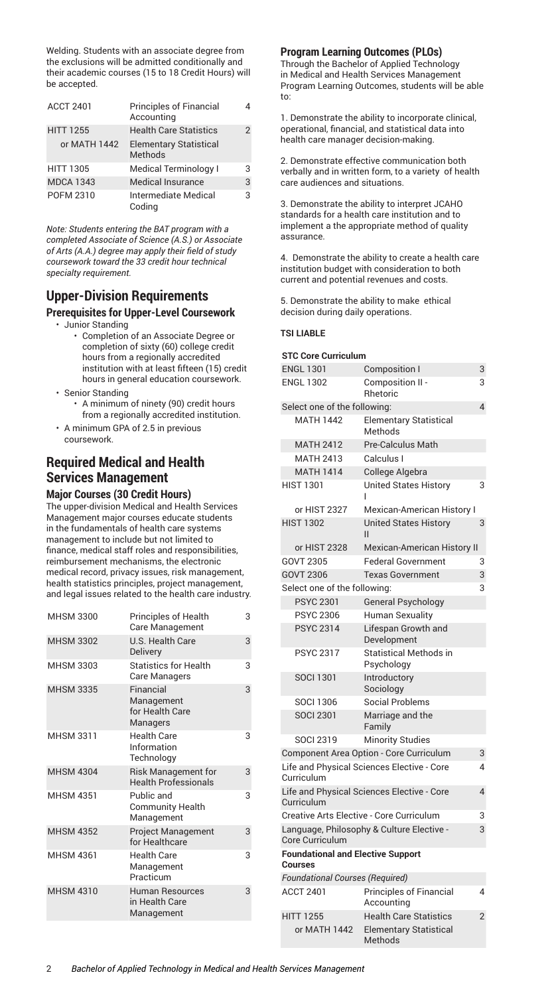Welding. Students with an associate degree from the exclusions will be admitted conditionally and their academic courses (15 to 18 Credit Hours) will be accepted.

| <b>ACCT 2401</b> | <b>Principles of Financial</b><br>Accounting | 4 |
|------------------|----------------------------------------------|---|
| <b>HITT 1255</b> | <b>Health Care Statistics</b>                | 2 |
| or MATH 1442     | <b>Elementary Statistical</b><br>Methods     |   |
| <b>HITT 1305</b> | <b>Medical Terminology I</b>                 | 3 |
| <b>MDCA 1343</b> | Medical Insurance                            | 3 |
| POFM 2310        | Intermediate Medical<br>Codina               | 3 |

*Note: Students entering the BAT program with a completed Associate of Science (A.S.) or Associate of Arts (A.A.) degree may apply their field of study coursework toward the 33 credit hour technical specialty requirement.*

### **Upper-Division Requirements**

#### **Prerequisites for Upper-Level Coursework**

- Junior Standing
	- Completion of an Associate Degree or completion of sixty (60) college credit hours from a regionally accredited institution with at least fifteen (15) credit hours in general education coursework.
- Senior Standing
	- A minimum of ninety (90) credit hours from a regionally accredited institution.
- A minimum GPA of 2.5 in previous coursework.

## **Required Medical and Health Services Management**

#### **Major Courses (30 Credit Hours)** The upper-division Medical and Health Services Management major courses educate students in the fundamentals of health care systems management to include but not limited to finance, medical staff roles and responsibilities, reimbursement mechanisms, the electronic medical record, privacy issues, risk management, health statistics principles, project management, and legal issues related to the health care industry.

| MHSM 3300        | Principles of Health<br>Care Management                   | 3 |
|------------------|-----------------------------------------------------------|---|
| <b>MHSM 3302</b> | U.S. Health Care<br><b>Delivery</b>                       | 3 |
| <b>MHSM 3303</b> | <b>Statistics for Health</b><br>Care Managers             | 3 |
| <b>MHSM 3335</b> | Financial<br>Management<br>for Health Care<br>Managers    | 3 |
| <b>MHSM 3311</b> | <b>Health Care</b><br>Information<br>Technology           | 3 |
| <b>MHSM 4304</b> | <b>Risk Management for</b><br><b>Health Professionals</b> | 3 |
| <b>MHSM 4351</b> | Public and<br><b>Community Health</b><br>Management       | 3 |
| <b>MHSM 4352</b> | <b>Project Management</b><br>for Healthcare               | 3 |
| <b>MHSM 4361</b> | <b>Health Care</b><br>Management<br>Practicum             | 3 |
| <b>MHSM 4310</b> | Human Resources<br>in Health Care<br>Management           | 3 |
|                  |                                                           |   |

### **Program Learning Outcomes (PLOs)**

Through the Bachelor of Applied Technology in Medical and Health Services Management Program Learning Outcomes, students will be able to:

1. Demonstrate the ability to incorporate clinical, operational, financial, and statistical data into health care manager decision-making.

2. Demonstrate effective communication both verbally and in written form, to a variety of health care audiences and situations.

3. Demonstrate the ability to interpret JCAHO standards for a health care institution and to implement a the appropriate method of quality assurance.

4. Demonstrate the ability to create a health care institution budget with consideration to both current and potential revenues and costs.

5. Demonstrate the ability to make ethical decision during daily operations.

### **TSI LIABLE**

#### **STC Core Curriculum**

| <b>ENGL 1301</b>                                           | <b>Composition I</b>                        | 3              |
|------------------------------------------------------------|---------------------------------------------|----------------|
| <b>ENGL 1302</b>                                           | Composition II -<br>Rhetoric                | 3              |
| Select one of the following:                               |                                             | 4              |
| <b>MATH 1442</b>                                           | <b>Elementary Statistical</b><br>Methods    |                |
| <b>MATH 2412</b>                                           | <b>Pre-Calculus Math</b>                    |                |
| <b>MATH 2413</b>                                           | Calculus I                                  |                |
| <b>MATH 1414</b>                                           | College Algebra                             |                |
| <b>HIST 1301</b>                                           | <b>United States History</b>                | 3              |
| or HIST 2327                                               | <b>Mexican-American History I</b>           |                |
| <b>HIST 1302</b>                                           | <b>United States History</b><br>П           | 3              |
| or HIST 2328                                               | <b>Mexican-American History II</b>          |                |
| GOVT 2305                                                  | <b>Federal Government</b>                   | 3              |
| GOVT 2306                                                  | <b>Texas Government</b>                     | 3              |
| Select one of the following:                               |                                             | 3              |
| <b>PSYC 2301</b>                                           | <b>General Psychology</b>                   |                |
| <b>PSYC 2306</b>                                           | Human Sexuality                             |                |
| <b>PSYC 2314</b>                                           | Lifespan Growth and<br>Development          |                |
| <b>PSYC 2317</b>                                           | <b>Statistical Methods in</b><br>Psychology |                |
| <b>SOCI 1301</b>                                           | Introductory<br>Sociology                   |                |
| <b>SOCI 1306</b>                                           | <b>Social Problems</b>                      |                |
| <b>SOCI 2301</b>                                           | Marriage and the<br>Family                  |                |
| <b>SOCI 2319</b>                                           | <b>Minority Studies</b>                     |                |
|                                                            | Component Area Option - Core Curriculum     | 3              |
| Curriculum                                                 | Life and Physical Sciences Elective - Core  | 4              |
| Curriculum                                                 | Life and Physical Sciences Elective - Core  | 4              |
| Creative Arts Elective - Core Curriculum                   |                                             | 3              |
| Core Curriculum                                            | Language, Philosophy & Culture Elective -   | 3              |
| <b>Foundational and Elective Support</b><br><b>Courses</b> |                                             |                |
| <b>Foundational Courses (Required)</b>                     |                                             |                |
| <b>ACCT 2401</b>                                           | Principles of Financial<br>Accounting       | 4              |
| <b>HITT 1255</b>                                           | <b>Health Care Statistics</b>               | $\overline{2}$ |
| or MATH 1442                                               | <b>Elementary Statistical</b><br>Methods    |                |